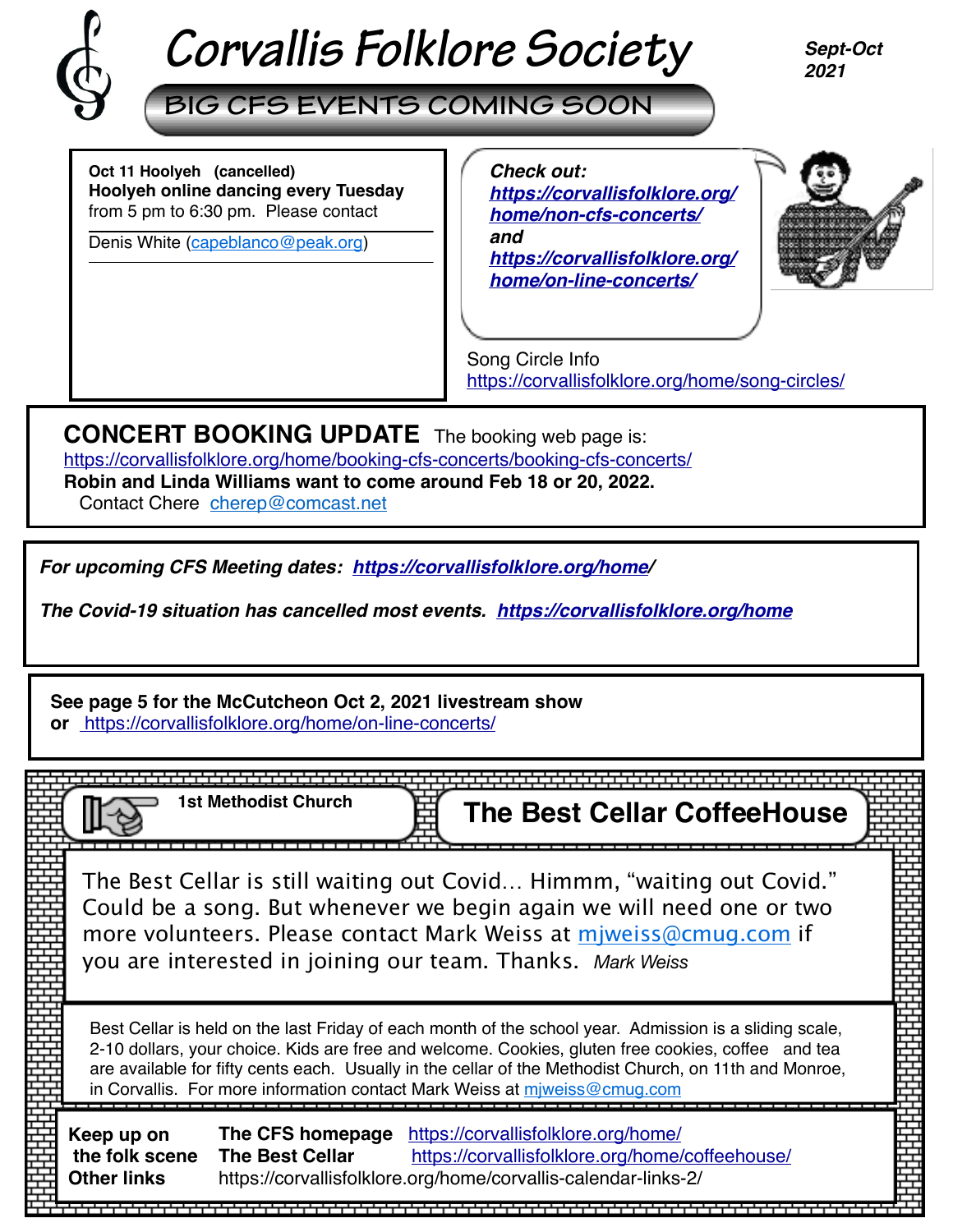

# *Corvallis Folklore Society*

*Sept-Oct 2021*

**BIG CFS EVENTS COMING SOON**

**Oct 11 Hoolyeh (cancelled) Hoolyeh online dancing every Tuesday** from 5 pm to 6:30 pm. Please contact

Denis White [\(capeblanco@peak.org](mailto:capeblanco@peak.org))

 *Check out: [https://corvallisfolklore.org/](https://corvallisfolklore.org/home/non-cfs-concerts/) [home/non-cfs-concerts/](https://corvallisfolklore.org/home/non-cfs-concerts/) and [https://corvallisfolklore.org/](https://corvallisfolklore.org/home/on-line-concerts/) [home/on-line-concerts/](https://corvallisfolklore.org/home/on-line-concerts/)*



Song Circle Info <https://corvallisfolklore.org/home/song-circles/>

**CONCERT BOOKING UPDATE** The booking web page is: [https://corvallisfolklore.org/home/booking-cfs-concerts/booking-cfs-concerts/](http://corvallisfolklore.org/home/booking-cfs-concerts/booking-cfs-concerts/) **Robin and Linda Williams want to come around Feb 18 or 20, 2022.**

Contact Chere [cherep@comcast.net](mailto:cherep@comcast.net)

*For upcoming CFS Meeting dates: <https://corvallisfolklore.org/home>/*

*The Covid-19 situation has cancelled most events. [https://corvallisfolklore.org/home](https://corvallisfolklore.org/)*

**See page 5 for the McCutcheon Oct 2, 2021 livestream show or** <https://corvallisfolklore.org/home/on-line-concerts/>

|                                                    | <b>1st Methodist Church</b>                | <b>The Best Cellar CoffeeHouse</b>                                                                                                                                                                                                                                                                                                                                                                  |  |
|----------------------------------------------------|--------------------------------------------|-----------------------------------------------------------------------------------------------------------------------------------------------------------------------------------------------------------------------------------------------------------------------------------------------------------------------------------------------------------------------------------------------------|--|
|                                                    |                                            | The Best Cellar is still waiting out Covid Himmm, "waiting out Covid."<br>Could be a song. But whenever we begin again we will need one or two<br>more volunteers. Please contact Mark Weiss at miweiss@cmug.com if<br>you are interested in joining our team. Thanks. Mark Weiss                                                                                                                   |  |
|                                                    |                                            | Best Cellar is held on the last Friday of each month of the school year. Admission is a sliding scale,<br>2-10 dollars, your choice. Kids are free and welcome. Cookies, gluten free cookies, coffee and tea<br>are available for fifty cents each. Usually in the cellar of the Methodist Church, on 11th and Monroe,<br>in Corvallis. For more information contact Mark Weiss at miweiss@cmug.com |  |
| Keep up on<br>the folk scene<br><b>Other links</b> | The CFS homepage<br><b>The Best Cellar</b> | https://corvallisfolklore.org/home/<br>https://corvallisfolklore.org/home/coffeehouse/<br>https://corvallisfolklore.org/home/corvallis-calendar-links-2/                                                                                                                                                                                                                                            |  |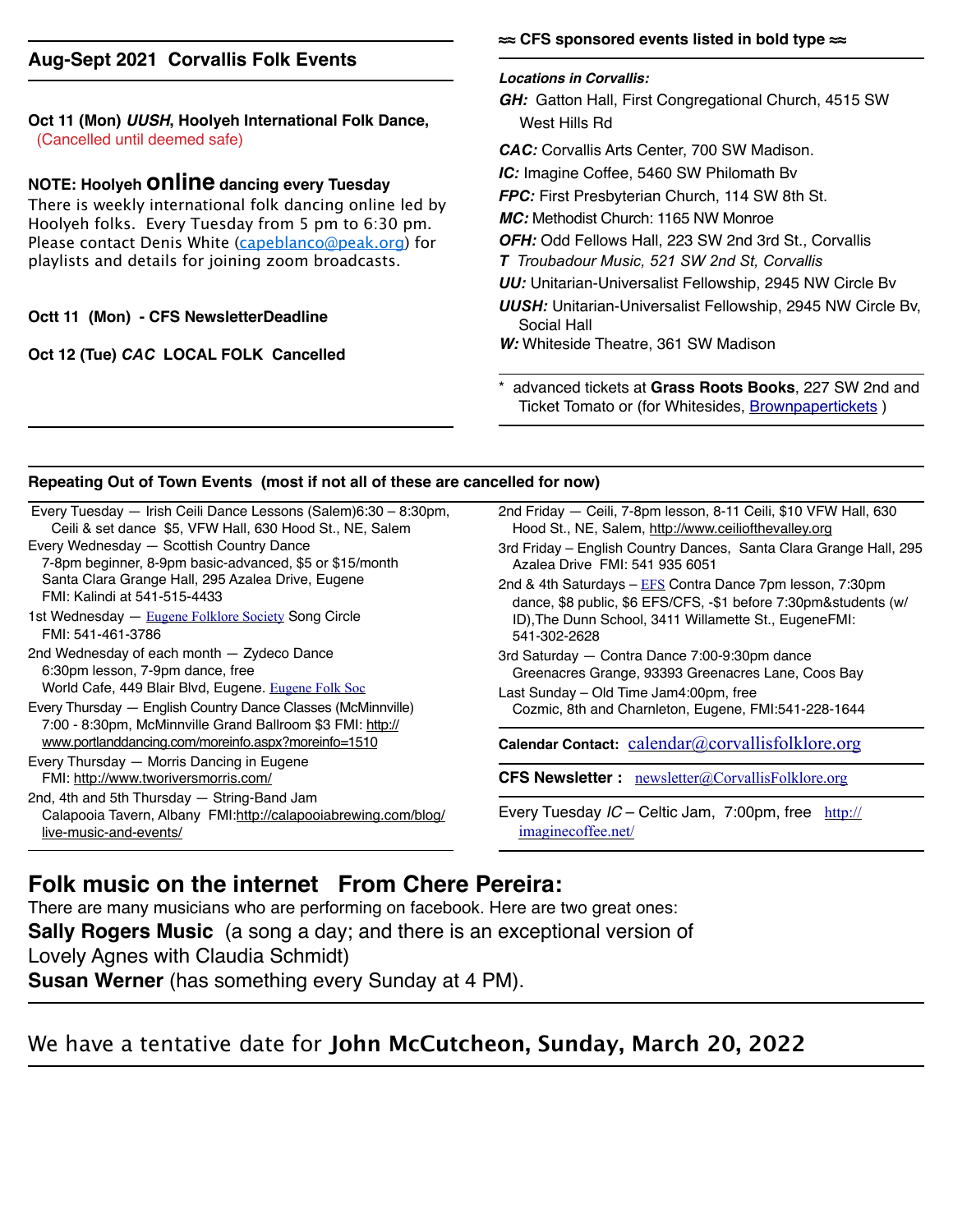#### **Aug-Sept 2021 Corvallis Folk Events**

#### **Oct 11 (Mon)** *UUSH***, Hoolyeh International Folk Dance,**  (Cancelled until deemed safe)

#### **NOTE: Hoolyeh online dancing every Tuesday**

There is weekly international folk dancing online led by Hoolyeh folks. Every Tuesday from 5 pm to 6:30 pm. Please contact Denis White ([capeblanco@peak.org](mailto:capeblanco@peak.org)) for playlists and details for joining zoom broadcasts.

#### **Octt 11 (Mon) - CFS NewsletterDeadline**

#### **Oct 12 (Tue)** *CAC* **LOCAL FOLK Cancelled**

#### **≈≈ CFS sponsored events listed in bold type ≈≈**

#### *Locations in Corvallis:*

*GH:* Gatton Hall, First Congregational Church, 4515 SW West Hills Rd

*CAC:* Corvallis Arts Center, 700 SW Madison.

*IC:* Imagine Coffee, 5460 SW Philomath Bv

*FPC:* First Presbyterian Church, 114 SW 8th St.

*MC:* Methodist Church: 1165 NW Monroe

*OFH:* Odd Fellows Hall, 223 SW 2nd 3rd St., Corvallis

*T Troubadour Music, 521 SW 2nd St, Corvallis*

*UU:* Unitarian-Universalist Fellowship, 2945 NW Circle Bv

*UUSH:* Unitarian-Universalist Fellowship, 2945 NW Circle Bv, Social Hall

*W:* Whiteside Theatre, 361 SW Madison

\* advanced tickets at **Grass Roots Books**, 227 SW 2nd and Ticket Tomato or (for Whitesides, [Brownpapertickets](https://www.brownpapertickets.com) )

#### **Repeating Out of Town Events (most if not all of these are cancelled for now)**

| 2nd Friday — Ceili, 7-8pm lesson, 8-11 Ceili, \$10 VFW Hall, 630<br>Hood St., NE, Salem, http://www.ceiliofthevalley.org                                                                                                                                                                                              |  |  |                                                                                     |
|-----------------------------------------------------------------------------------------------------------------------------------------------------------------------------------------------------------------------------------------------------------------------------------------------------------------------|--|--|-------------------------------------------------------------------------------------|
|                                                                                                                                                                                                                                                                                                                       |  |  |                                                                                     |
| 3rd Friday – English Country Dances, Santa Clara Grange Hall, 295<br>Azalea Drive FMI: 541 935 6051                                                                                                                                                                                                                   |  |  |                                                                                     |
| 2nd & 4th Saturdays - EFS Contra Dance 7pm lesson, 7:30pm<br>dance, \$8 public, \$6 EFS/CFS, -\$1 before 7:30pm&students (w/                                                                                                                                                                                          |  |  |                                                                                     |
| ID), The Dunn School, 3411 Willamette St., EugeneFMI:                                                                                                                                                                                                                                                                 |  |  |                                                                                     |
| 3rd Saturday - Contra Dance 7:00-9:30pm dance<br>Greenacres Grange, 93393 Greenacres Lane, Coos Bay<br>Last Sunday – Old Time Jam4:00pm, free<br>Cozmic, 8th and Charnleton, Eugene, FMI:541-228-1644<br>Calendar Contact: calendar@corvallisfolklore.org<br><b>CFS Newsletter :</b> newsletter@CorvallisFolklore.org |  |  |                                                                                     |
|                                                                                                                                                                                                                                                                                                                       |  |  | Every Tuesday IC – Celtic Jam, 7:00pm, free $\frac{\text{http://}}{\text{http://}}$ |
|                                                                                                                                                                                                                                                                                                                       |  |  |                                                                                     |

### **Folk music on the internet From Chere Pereira:**

There are many musicians who are performing on facebook. Here are two great ones: **Sally Rogers Music** (a song a day; and there is an exceptional version of Lovely Agnes with Claudia Schmidt)

**Susan Werner** (has something every Sunday at 4 PM).

## We have a tentative date for **John McCutcheon, Sunday, March 20, 2022**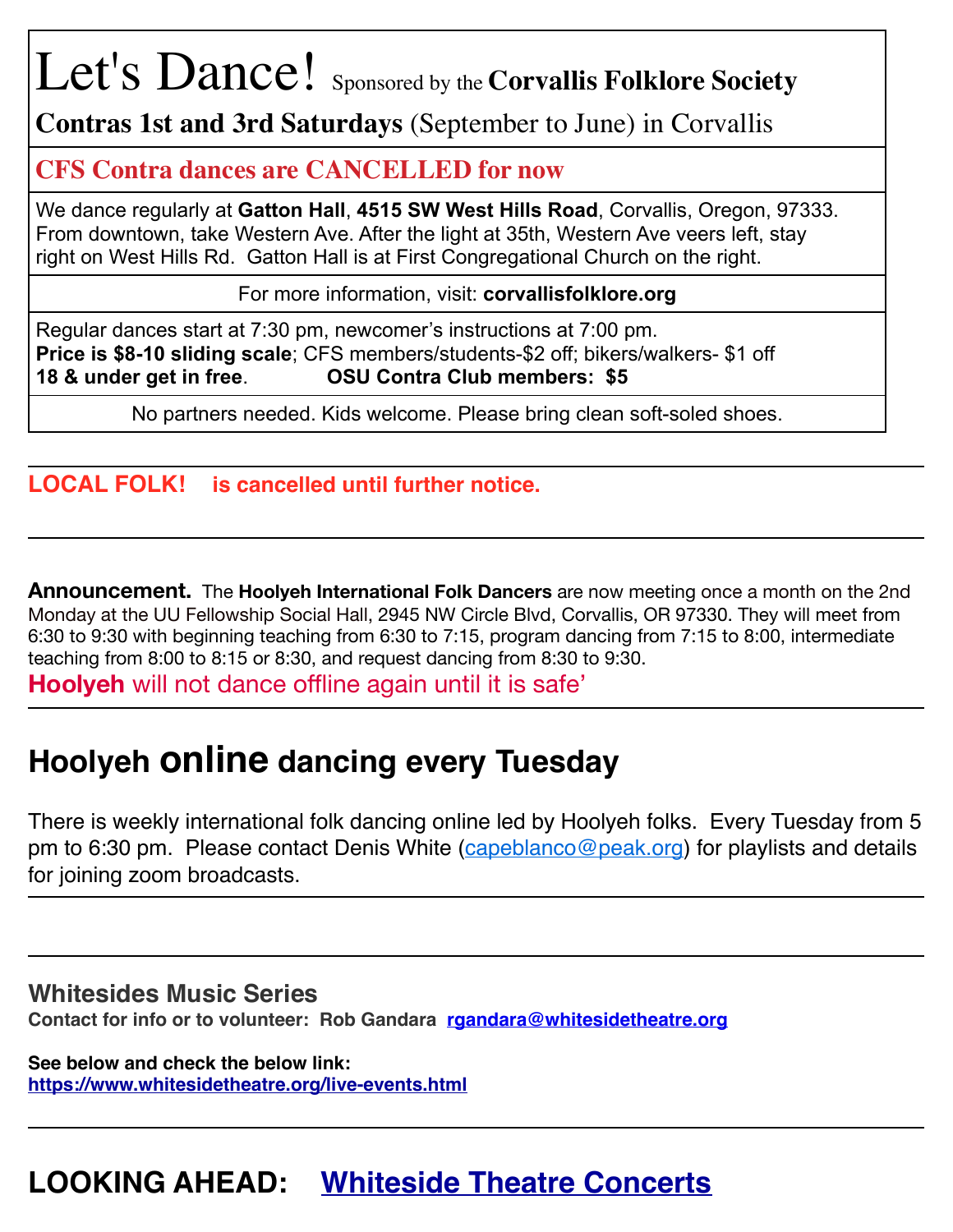# Let's Dance! Sponsored by the **Corvallis Folklore Society**

**Contras 1st and 3rd Saturdays** (September to June) in Corvallis

## **CFS Contra dances are CANCELLED for now**

We dance regularly at **Gatton Hall**, **4515 SW West Hills Road**, Corvallis, Oregon, 97333. From downtown, take Western Ave. After the light at 35th, Western Ave veers left, stay right on West Hills Rd. Gatton Hall is at First Congregational Church on the right.

For more information, visit: **corvallisfolklore.org**

Regular dances start at 7:30 pm, newcomer's instructions at 7:00 pm. **Price is \$8-10 sliding scale**; CFS members/students-\$2 off; bikers/walkers- \$1 off **18 & under get in free**. **OSU Contra Club members: \$5**

No partners needed. Kids welcome. Please bring clean soft-soled shoes.

## **LOCAL FOLK! is cancelled until further notice.**

**Announcement.** The **Hoolyeh International Folk Dancers** are now meeting once a month on the 2nd Monday at the UU Fellowship Social Hall, 2945 NW Circle Blvd, Corvallis, OR 97330. They will meet from 6:30 to 9:30 with beginning teaching from 6:30 to 7:15, program dancing from 7:15 to 8:00, intermediate teaching from 8:00 to 8:15 or 8:30, and request dancing from 8:30 to 9:30.

**Hoolyeh** will not dance offline again until it is safe'

## **Hoolyeh online dancing every Tuesday**

There is weekly international folk dancing online led by Hoolyeh folks. Every Tuesday from 5 pm to 6:30 pm. Please contact Denis White ([capeblanco@peak.org](mailto:capeblanco@peak.org)) for playlists and details for joining zoom broadcasts.

## **Whitesides Music Series**

**Contact for info or to volunteer: Rob Gandara [rgandara@whitesidetheatre.org](mailto:rgandara@whitesidetheatre.org)**

**See below and check the below link: <https://www.whitesidetheatre.org/live-events.html>**

## **LOOKING AHEAD: [Whiteside Theatre Concerts](https://corvallisfolklore.org/home/whitesides-cfs-concerts-2/)**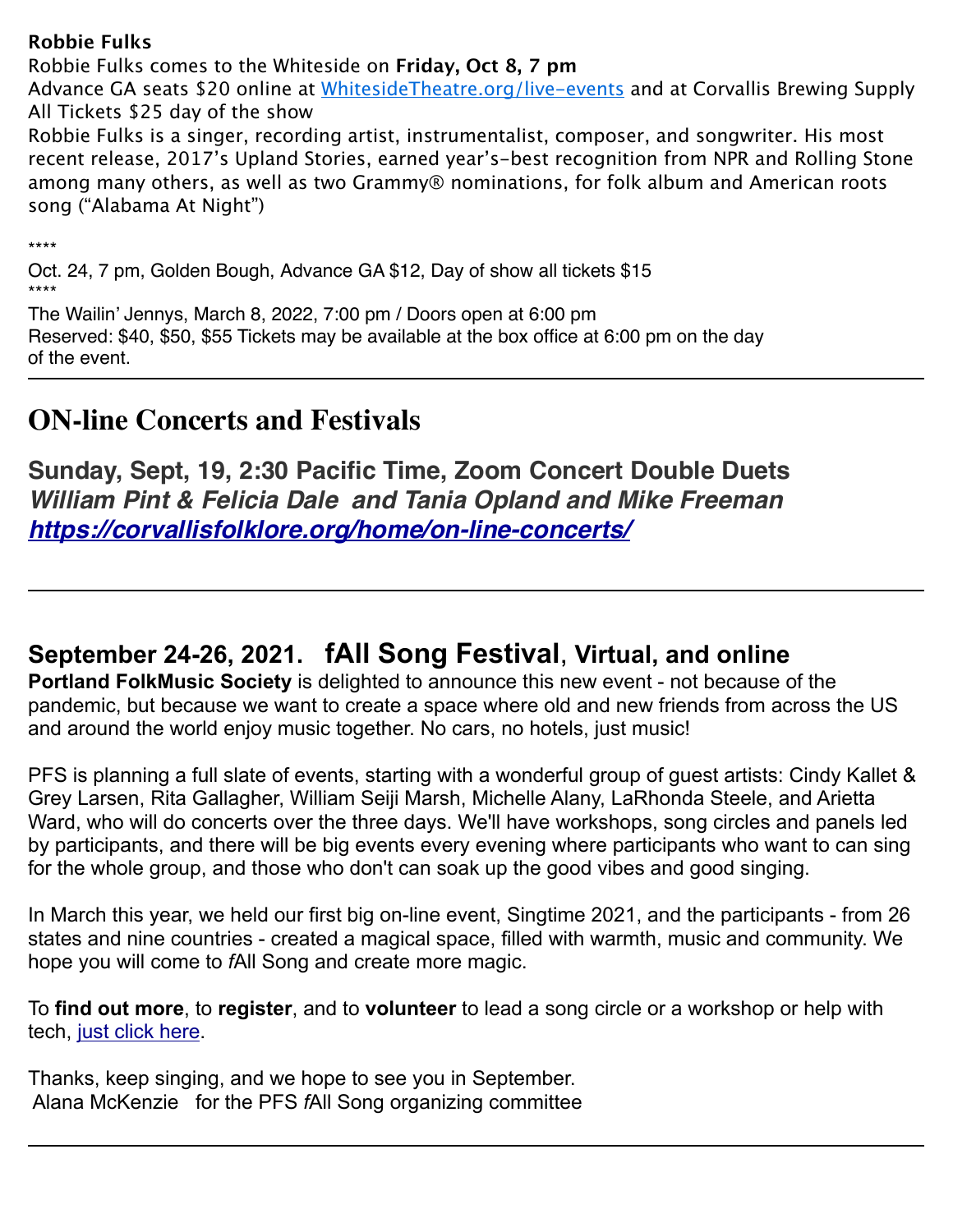#### **Robbie Fulks**

Robbie Fulks comes to the Whiteside on **Friday, Oct 8, 7 pm**

Advance GA seats \$20 online at [WhitesideTheatre.org/live-events](http://whitesidetheatre.org/live-events) and at Corvallis Brewing Supply All Tickets \$25 day of the show

Robbie Fulks is a singer, recording artist, instrumentalist, composer, and songwriter. His most recent release, 2017's Upland Stories, earned year's-best recognition from NPR and Rolling Stone among many others, as well as two Grammy® nominations, for folk album and American roots song ("Alabama At Night")

\*\*\*\*

Oct. 24, 7 pm, Golden Bough, Advance GA \$12, Day of show all tickets \$15 \*\*\*\*

The Wailin' Jennys, March 8, 2022, 7:00 pm / Doors open at 6:00 pm Reserved: \$40, \$50, \$55 Tickets may be available at the box office at 6:00 pm on the day of the event.

## **ON-line Concerts and Festivals**

**Sunday, Sept, 19, 2:30 Pacific Time, Zoom Concert Double Duets** *William Pint & Felicia Dale and Tania Opland and Mike Freeman <https://corvallisfolklore.org/home/on-line-concerts/>*

## **September 24-26, 2021. fAll Song Festival**, **Virtual, and online**

**Portland FolkMusic Society** is delighted to announce this new event - not because of the pandemic, but because we want to create a space where old and new friends from across the US and around the world enjoy music together. No cars, no hotels, just music!

PFS is planning a full slate of events, starting with a wonderful group of guest artists: Cindy Kallet & Grey Larsen, Rita Gallagher, William Seiji Marsh, Michelle Alany, LaRhonda Steele, and Arietta Ward, who will do concerts over the three days. We'll have workshops, song circles and panels led by participants, and there will be big events every evening where participants who want to can sing for the whole group, and those who don't can soak up the good vibes and good singing.

In March this year, we held our first big on-line event, Singtime 2021, and the participants - from 26 states and nine countries - created a magical space, filled with warmth, music and community. We hope you will come to *f*All Song and create more magic.

To **find out more**, to **register**, and to **volunteer** to lead a song circle or a workshop or help with tech, [just click here.](https://portlandfolkmusic.org/content.aspx?page_id=22&club_id=748368&module_id=478957)

Thanks, keep singing, and we hope to see you in September. Alana McKenzie for the PFS *f*All Song organizing committee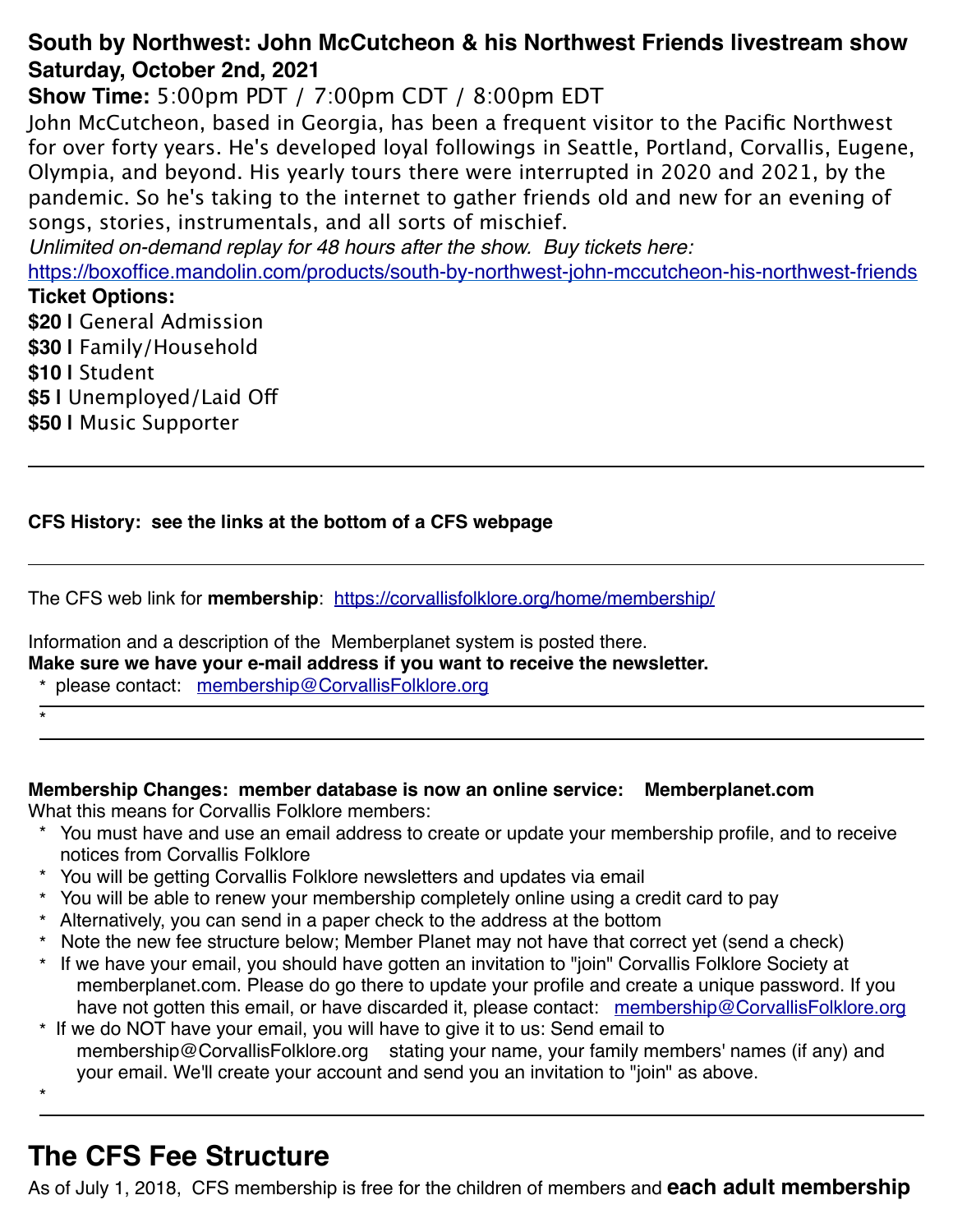## **South by Northwest: John McCutcheon & his Northwest Friends livestream show Saturday, October 2nd, 2021**

**Show Time:** 5:00pm PDT / 7:00pm CDT / 8:00pm EDT

John McCutcheon, based in Georgia, has been a frequent visitor to the Pacific Northwest for over forty years. He's developed loyal followings in Seattle, Portland, Corvallis, Eugene, Olympia, and beyond. His yearly tours there were interrupted in 2020 and 2021, by the pandemic. So he's taking to the internet to gather friends old and new for an evening of songs, stories, instrumentals, and all sorts of mischief.

*Unlimited on-demand replay for 48 hours after the show. Buy tickets here:*

<https://boxoffice.mandolin.com/products/south-by-northwest-john-mccutcheon-his-northwest-friends> **Ticket Options:**

**\$20 |** General Admission

**\$30 |** Family/Household

**\$10 |** Student

\*

\*

**\$5 |** Unemployed/Laid Of

**\$50 |** Music Supporter

### **CFS History: see the links at the bottom of a CFS webpage**

The CFS web link for **membership**: <https://corvallisfolklore.org/home/membership/>

Information and a description of the Memberplanet system is posted there. **Make sure we have your e-mail address if you want to receive the newsletter.**

\* please contact: [membership@CorvallisFolklore.org](mailto:membership@CorvallisFolklore.org)

#### **Membership Changes: member database is now an online service: Memberplanet.com**

What this means for Corvallis Folklore members:

- \* You must have and use an email address to create or update your membership profile, and to receive notices from Corvallis Folklore
- \* You will be getting Corvallis Folklore newsletters and updates via email
- \* You will be able to renew your membership completely online using a credit card to pay
- \* Alternatively, you can send in a paper check to the address at the bottom
- \* Note the new fee structure below; Member Planet may not have that correct yet (send a check)
- \* If we have your email, you should have gotten an invitation to "join" Corvallis Folklore Society at memberplanet.com. Please do go there to update your profile and create a unique password. If you have not gotten this email, or have discarded it, please contact: [membership@CorvallisFolklore.org](mailto:membership@CorvallisFolklore.org)
- \* If we do NOT have your email, you will have to give it to us: Send email to membership@CorvallisFolklore.org stating your name, your family members' names (if any) and your email. We'll create your account and send you an invitation to "join" as above.

**The CFS Fee Structure** 

As of July 1, 2018, CFS membership is free for the children of members and **each adult membership**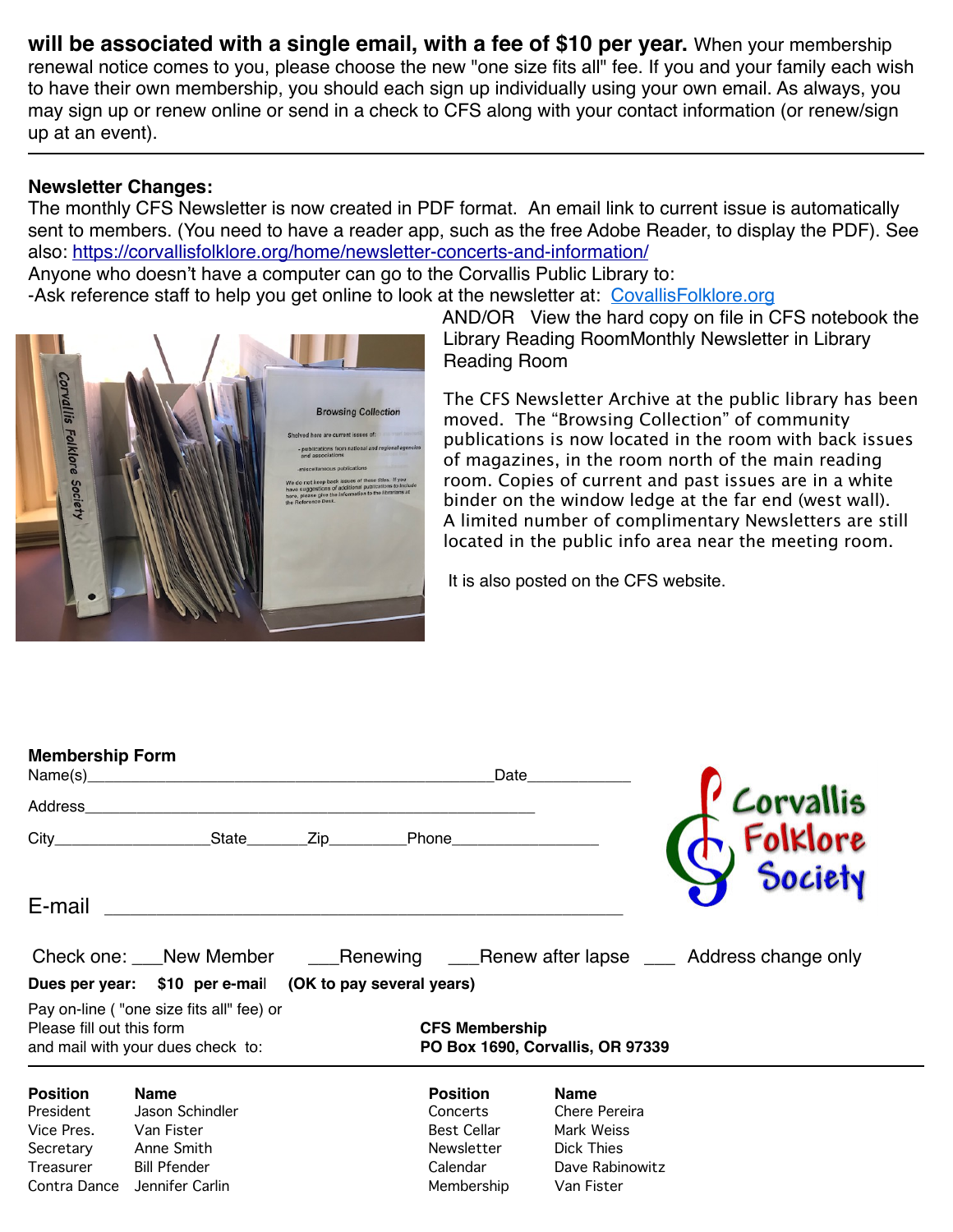**will be associated with a single email, with a fee of \$10 per year.** When your membership renewal notice comes to you, please choose the new "one size fits all" fee. If you and your family each wish to have their own membership, you should each sign up individually using your own email. As always, you may sign up or renew online or send in a check to CFS along with your contact information (or renew/sign up at an event).

#### **Newsletter Changes:**

The monthly CFS Newsletter is now created in PDF format. An email link to current issue is automatically sent to members. (You need to have a reader app, such as the free Adobe Reader, to display the PDF). See also: <https://corvallisfolklore.org/home/newsletter-concerts-and-information/>

Anyone who doesn't have a computer can go to the Corvallis Public Library to:

-Ask reference staff to help you get online to look at the newsletter at: [CovallisFolklore.org](http://covallisfolklore.org/)



AND/OR View the hard copy on file in CFS notebook the Library Reading RoomMonthly Newsletter in Library Reading Room

The CFS Newsletter Archive at the public library has been moved. The "Browsing Collection" of community publications is now located in the room with back issues of magazines, in the room north of the main reading room. Copies of current and past issues are in a white binder on the window ledge at the far end (west wall). A limited number of complimentary Newsletters are still located in the public info area near the meeting room.

It is also posted on the CFS website.

| <b>Membership Form</b>                                                               |                                                                                                      |                                                           |                                                                                           | Date                                                                                      |                                                                                 |
|--------------------------------------------------------------------------------------|------------------------------------------------------------------------------------------------------|-----------------------------------------------------------|-------------------------------------------------------------------------------------------|-------------------------------------------------------------------------------------------|---------------------------------------------------------------------------------|
| Address_                                                                             |                                                                                                      |                                                           |                                                                                           |                                                                                           |                                                                                 |
|                                                                                      |                                                                                                      |                                                           |                                                                                           |                                                                                           | Corvallis<br>Folklore                                                           |
| E-mail                                                                               |                                                                                                      |                                                           |                                                                                           |                                                                                           |                                                                                 |
|                                                                                      |                                                                                                      |                                                           |                                                                                           |                                                                                           | Check one: New Member Menewing Alexander Menew after lapse Mandress change only |
|                                                                                      |                                                                                                      | Dues per year: \$10 per e-mail (OK to pay several years)  |                                                                                           |                                                                                           |                                                                                 |
| Please fill out this form                                                            | Pay on-line ("one size fits all" fee) or<br>and mail with your dues check to:                        | <b>CFS Membership</b><br>PO Box 1690, Corvallis, OR 97339 |                                                                                           |                                                                                           |                                                                                 |
| <b>Position</b><br>President<br>Vice Pres.<br>Secretary<br>Treasurer<br>Contra Dance | <b>Name</b><br>Jason Schindler<br>Van Fister<br>Anne Smith<br><b>Bill Pfender</b><br>Jennifer Carlin |                                                           | <b>Position</b><br>Concerts<br><b>Best Cellar</b><br>Newsletter<br>Calendar<br>Membership | <b>Name</b><br>Chere Pereira<br>Mark Weiss<br>Dick Thies<br>Dave Rabinowitz<br>Van Fister |                                                                                 |